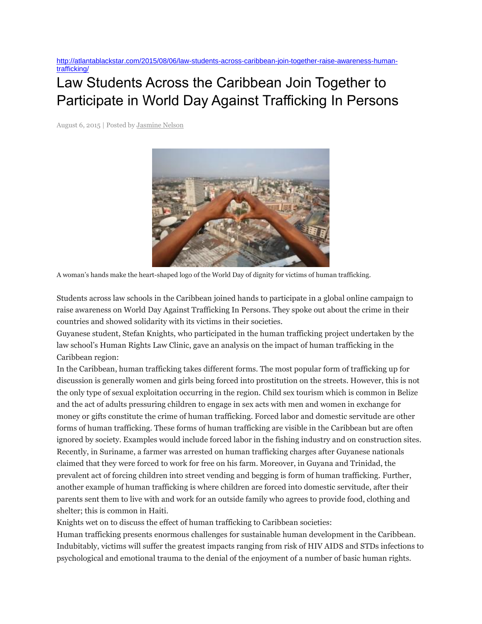[http://atlantablackstar.com/2015/08/06/law-students-across-caribbean-join-together-raise-awareness-human](http://atlantablackstar.com/2015/08/06/law-students-across-caribbean-join-together-raise-awareness-human-trafficking/)[trafficking/](http://atlantablackstar.com/2015/08/06/law-students-across-caribbean-join-together-raise-awareness-human-trafficking/)

## Law Students Across the Caribbean Join Together to Participate in World Day Against Trafficking In Persons

August 6, 2015 | Posted by [Jasmine Nelson](http://atlantablackstar.com/author/jasminenelson/)



A woman's hands make the heart-shaped logo of the World Day of dignity for victims of human trafficking.

Students across law schools in the Caribbean joined hands to participate in a global online campaign to raise awareness on World Day Against Trafficking In Persons. They spoke out about the crime in their countries and showed solidarity with its victims in their societies.

Guyanese student, Stefan Knights, who participated in the human trafficking project undertaken by the law school's Human Rights Law Clinic, gave an analysis on the impact of human trafficking in the Caribbean region:

In the Caribbean, human trafficking takes different forms. The most popular form of trafficking up for discussion is generally women and girls being forced into prostitution on the streets. However, this is not the only type of sexual exploitation occurring in the region. Child sex tourism which is common in Belize and the act of adults pressuring children to engage in sex acts with men and women in exchange for money or gifts constitute the crime of human trafficking. Forced labor and domestic servitude are other forms of human trafficking. These forms of human trafficking are visible in the Caribbean but are often ignored by society. Examples would include forced labor in the fishing industry and on construction sites. Recently, in Suriname, a farmer was arrested on human trafficking charges after Guyanese nationals claimed that they were forced to work for free on his farm. Moreover, in Guyana and Trinidad, the prevalent act of forcing children into street vending and begging is form of human trafficking. Further, another example of human trafficking is where children are forced into domestic servitude, after their parents sent them to live with and work for an outside family who agrees to provide food, clothing and shelter; this is common in Haiti.

Knights wet on to discuss the effect of human trafficking to Caribbean societies:

Human trafficking presents enormous challenges for sustainable human development in the Caribbean. Indubitably, victims will suffer the greatest impacts ranging from risk of HIV AIDS and STDs infections to psychological and emotional trauma to the denial of the enjoyment of a number of basic human rights.